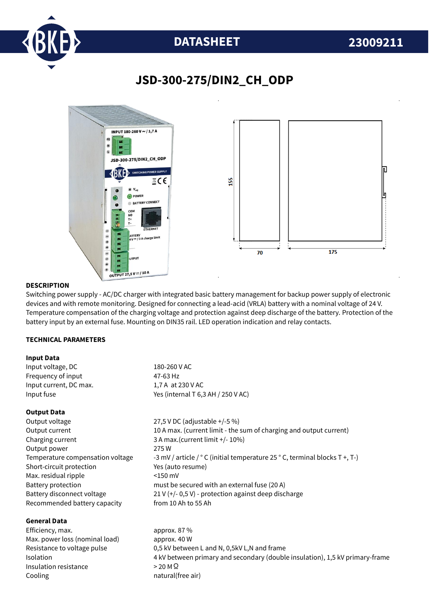

## **DATASHEET 23009211**

### **JSD-300-275/DIN2\_CH\_ODP**



#### **DESCRIPTION**

Switching power supply - AC/DC charger with integrated basic battery management for backup power supply of electronic devices and with remote monitoring. Designed for connecting a lead-acid (VRLA) battery with a nominal voltage of 24 V. Temperature compensation of the charging voltage and protection against deep discharge of the battery. Protection of the battery input by an external fuse. Mounting on DIN35 rail. LED operation indication and relay contacts.

#### **TECHNICAL PARAMETERS**

#### **Input Data**

| Input voltage, DC      | 180-260 V AC                       |  |
|------------------------|------------------------------------|--|
| Freguency of input     | 47-63 Hz                           |  |
| Input current, DC max. | 1,7 A at 230 V AC                  |  |
| Input fuse             | Yes (internal T 6,3 AH / 250 V AC) |  |
|                        |                                    |  |

#### **Output Data**

Output voltage 27,5 V DC (adjustable +/-5 %) Output current 10 A max. (current limit - the sum of charging and output current) Charging current 3 A max.(current limit +/- 10%) Output power 275 W Temperature compensation voltage  $-3$  mV / article /  $\degree$  C (initial temperature 25  $\degree$  C, terminal blocks T +, T-) Short-circuit protection Yes (auto resume) Max. residual ripple  $\leq 150$  mV Battery protection must be secured with an external fuse (20 A) Battery disconnect voltage 21 V (+/- 0,5 V) - protection against deep discharge Recommended battery capacity from 10 Ah to 55 Ah

#### **General Data**

Efficiency, max. approx. 87 % Max. power loss (nominal load) approx. 40 W Insulation resistance  $> 20 M\Omega$ Cooling **natural** (free air)

Resistance to voltage pulse 0,5 kV between L and N, 0,5kV L,N and frame Isolation 4 kV between primary and secondary (double insulation), 1,5 kV primary-frame